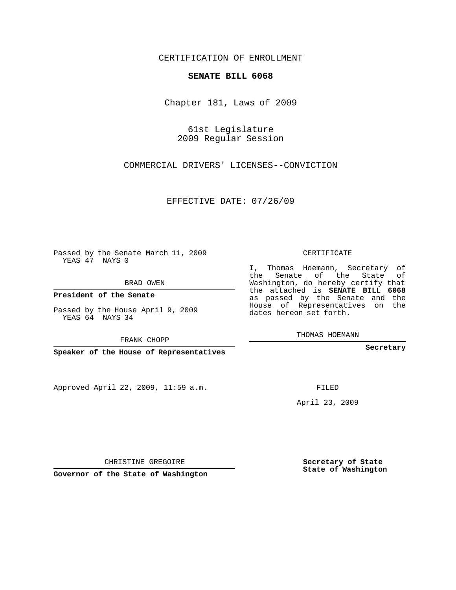## CERTIFICATION OF ENROLLMENT

## **SENATE BILL 6068**

Chapter 181, Laws of 2009

61st Legislature 2009 Regular Session

COMMERCIAL DRIVERS' LICENSES--CONVICTION

EFFECTIVE DATE: 07/26/09

Passed by the Senate March 11, 2009 YEAS 47 NAYS 0

BRAD OWEN

**President of the Senate**

YEAS 64 NAYS 34

**Speaker of the House of Representatives**

Approved April 22, 2009, 11:59 a.m.

CERTIFICATE

I, Thomas Hoemann, Secretary of the Senate of the State of Washington, do hereby certify that the attached is **SENATE BILL 6068** as passed by the Senate and the House of Representatives on the dates hereon set forth.

THOMAS HOEMANN

**Secretary**

FILED

April 23, 2009

**Secretary of State State of Washington**

CHRISTINE GREGOIRE

**Governor of the State of Washington**

Passed by the House April 9, 2009

FRANK CHOPP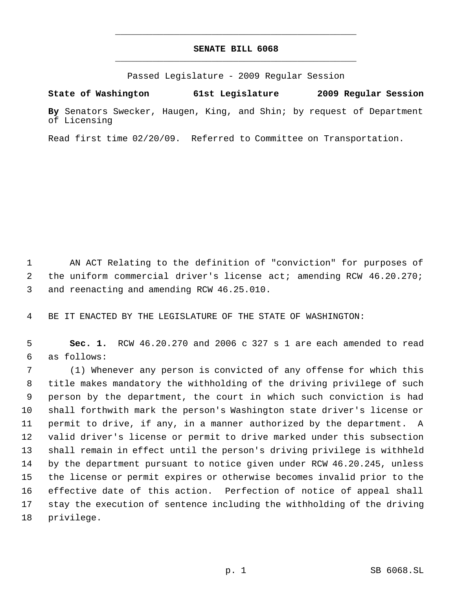## **SENATE BILL 6068** \_\_\_\_\_\_\_\_\_\_\_\_\_\_\_\_\_\_\_\_\_\_\_\_\_\_\_\_\_\_\_\_\_\_\_\_\_\_\_\_\_\_\_\_\_

\_\_\_\_\_\_\_\_\_\_\_\_\_\_\_\_\_\_\_\_\_\_\_\_\_\_\_\_\_\_\_\_\_\_\_\_\_\_\_\_\_\_\_\_\_

Passed Legislature - 2009 Regular Session

**State of Washington 61st Legislature 2009 Regular Session**

**By** Senators Swecker, Haugen, King, and Shin; by request of Department of Licensing

Read first time 02/20/09. Referred to Committee on Transportation.

 AN ACT Relating to the definition of "conviction" for purposes of 2 the uniform commercial driver's license act; amending RCW 46.20.270; and reenacting and amending RCW 46.25.010.

BE IT ENACTED BY THE LEGISLATURE OF THE STATE OF WASHINGTON:

 **Sec. 1.** RCW 46.20.270 and 2006 c 327 s 1 are each amended to read as follows:

 (1) Whenever any person is convicted of any offense for which this title makes mandatory the withholding of the driving privilege of such person by the department, the court in which such conviction is had shall forthwith mark the person's Washington state driver's license or permit to drive, if any, in a manner authorized by the department. A valid driver's license or permit to drive marked under this subsection shall remain in effect until the person's driving privilege is withheld by the department pursuant to notice given under RCW 46.20.245, unless the license or permit expires or otherwise becomes invalid prior to the effective date of this action. Perfection of notice of appeal shall stay the execution of sentence including the withholding of the driving privilege.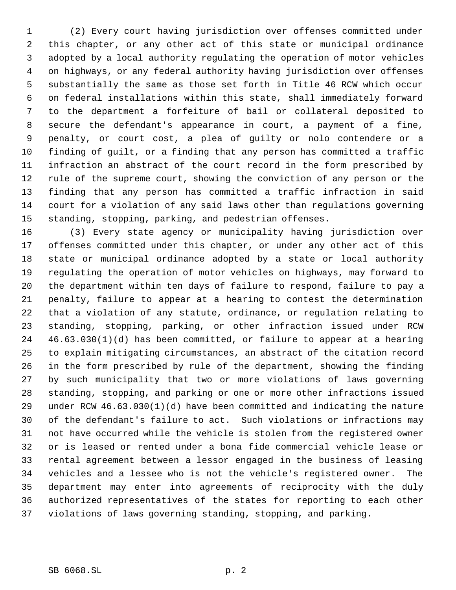(2) Every court having jurisdiction over offenses committed under this chapter, or any other act of this state or municipal ordinance adopted by a local authority regulating the operation of motor vehicles on highways, or any federal authority having jurisdiction over offenses substantially the same as those set forth in Title 46 RCW which occur on federal installations within this state, shall immediately forward to the department a forfeiture of bail or collateral deposited to secure the defendant's appearance in court, a payment of a fine, penalty, or court cost, a plea of guilty or nolo contendere or a finding of guilt, or a finding that any person has committed a traffic infraction an abstract of the court record in the form prescribed by rule of the supreme court, showing the conviction of any person or the finding that any person has committed a traffic infraction in said court for a violation of any said laws other than regulations governing standing, stopping, parking, and pedestrian offenses.

 (3) Every state agency or municipality having jurisdiction over offenses committed under this chapter, or under any other act of this state or municipal ordinance adopted by a state or local authority regulating the operation of motor vehicles on highways, may forward to the department within ten days of failure to respond, failure to pay a penalty, failure to appear at a hearing to contest the determination that a violation of any statute, ordinance, or regulation relating to standing, stopping, parking, or other infraction issued under RCW 46.63.030(1)(d) has been committed, or failure to appear at a hearing to explain mitigating circumstances, an abstract of the citation record in the form prescribed by rule of the department, showing the finding by such municipality that two or more violations of laws governing standing, stopping, and parking or one or more other infractions issued under RCW 46.63.030(1)(d) have been committed and indicating the nature of the defendant's failure to act. Such violations or infractions may not have occurred while the vehicle is stolen from the registered owner or is leased or rented under a bona fide commercial vehicle lease or rental agreement between a lessor engaged in the business of leasing vehicles and a lessee who is not the vehicle's registered owner. The department may enter into agreements of reciprocity with the duly authorized representatives of the states for reporting to each other violations of laws governing standing, stopping, and parking.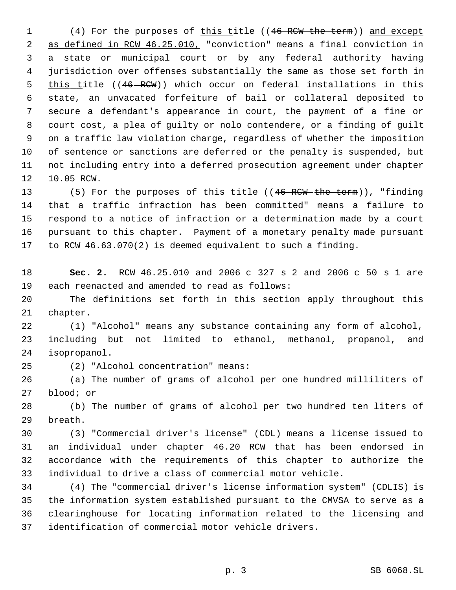1 (4) For the purposes of this title ((46 RCW the term)) and except as defined in RCW 46.25.010, "conviction" means a final conviction in a state or municipal court or by any federal authority having jurisdiction over offenses substantially the same as those set forth in 5 this title ((46-RCW)) which occur on federal installations in this state, an unvacated forfeiture of bail or collateral deposited to secure a defendant's appearance in court, the payment of a fine or court cost, a plea of guilty or nolo contendere, or a finding of guilt on a traffic law violation charge, regardless of whether the imposition of sentence or sanctions are deferred or the penalty is suspended, but not including entry into a deferred prosecution agreement under chapter 10.05 RCW.

13 (5) For the purposes of this title ((46 RCW the term))<sub>L</sub> "finding that a traffic infraction has been committed" means a failure to respond to a notice of infraction or a determination made by a court pursuant to this chapter. Payment of a monetary penalty made pursuant to RCW 46.63.070(2) is deemed equivalent to such a finding.

 **Sec. 2.** RCW 46.25.010 and 2006 c 327 s 2 and 2006 c 50 s 1 are each reenacted and amended to read as follows:

 The definitions set forth in this section apply throughout this chapter.

 (1) "Alcohol" means any substance containing any form of alcohol, including but not limited to ethanol, methanol, propanol, and isopropanol.

(2) "Alcohol concentration" means:

 (a) The number of grams of alcohol per one hundred milliliters of blood; or

 (b) The number of grams of alcohol per two hundred ten liters of breath.

 (3) "Commercial driver's license" (CDL) means a license issued to an individual under chapter 46.20 RCW that has been endorsed in accordance with the requirements of this chapter to authorize the individual to drive a class of commercial motor vehicle.

 (4) The "commercial driver's license information system" (CDLIS) is the information system established pursuant to the CMVSA to serve as a clearinghouse for locating information related to the licensing and identification of commercial motor vehicle drivers.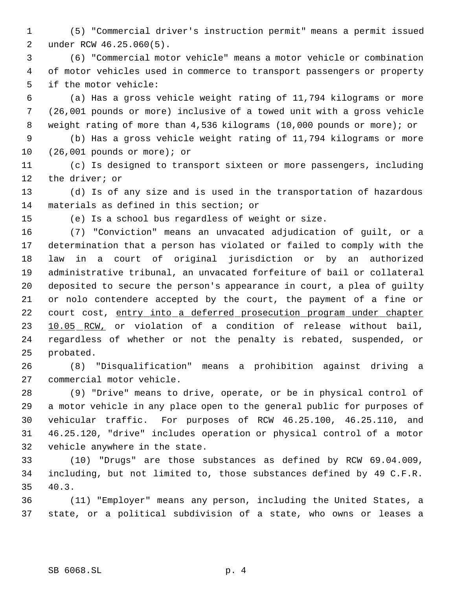- (5) "Commercial driver's instruction permit" means a permit issued under RCW 46.25.060(5).
- (6) "Commercial motor vehicle" means a motor vehicle or combination of motor vehicles used in commerce to transport passengers or property if the motor vehicle:
- (a) Has a gross vehicle weight rating of 11,794 kilograms or more (26,001 pounds or more) inclusive of a towed unit with a gross vehicle weight rating of more than 4,536 kilograms (10,000 pounds or more); or
- (b) Has a gross vehicle weight rating of 11,794 kilograms or more (26,001 pounds or more); or
- (c) Is designed to transport sixteen or more passengers, including the driver; or
- (d) Is of any size and is used in the transportation of hazardous materials as defined in this section; or
- 

(e) Is a school bus regardless of weight or size.

 (7) "Conviction" means an unvacated adjudication of guilt, or a determination that a person has violated or failed to comply with the law in a court of original jurisdiction or by an authorized administrative tribunal, an unvacated forfeiture of bail or collateral deposited to secure the person's appearance in court, a plea of guilty or nolo contendere accepted by the court, the payment of a fine or 22 court cost, entry into a deferred prosecution program under chapter 23 10.05 RCW, or violation of a condition of release without bail, regardless of whether or not the penalty is rebated, suspended, or probated.

- (8) "Disqualification" means a prohibition against driving a commercial motor vehicle.
- (9) "Drive" means to drive, operate, or be in physical control of a motor vehicle in any place open to the general public for purposes of vehicular traffic. For purposes of RCW 46.25.100, 46.25.110, and 46.25.120, "drive" includes operation or physical control of a motor vehicle anywhere in the state.
- (10) "Drugs" are those substances as defined by RCW 69.04.009, including, but not limited to, those substances defined by 49 C.F.R. 40.3.
- (11) "Employer" means any person, including the United States, a state, or a political subdivision of a state, who owns or leases a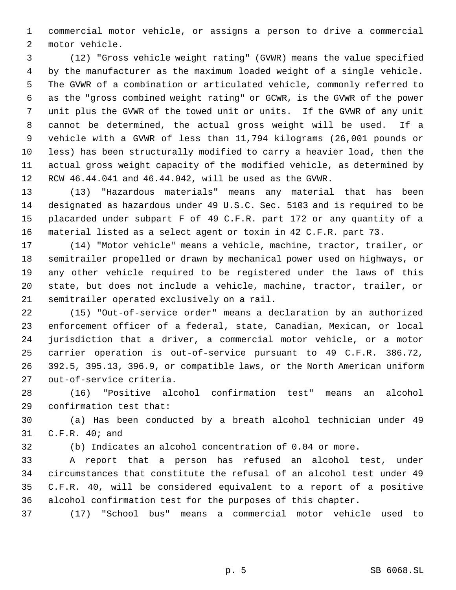commercial motor vehicle, or assigns a person to drive a commercial motor vehicle.

 (12) "Gross vehicle weight rating" (GVWR) means the value specified by the manufacturer as the maximum loaded weight of a single vehicle. The GVWR of a combination or articulated vehicle, commonly referred to as the "gross combined weight rating" or GCWR, is the GVWR of the power unit plus the GVWR of the towed unit or units. If the GVWR of any unit cannot be determined, the actual gross weight will be used. If a vehicle with a GVWR of less than 11,794 kilograms (26,001 pounds or less) has been structurally modified to carry a heavier load, then the actual gross weight capacity of the modified vehicle, as determined by RCW 46.44.041 and 46.44.042, will be used as the GVWR.

 (13) "Hazardous materials" means any material that has been designated as hazardous under 49 U.S.C. Sec. 5103 and is required to be placarded under subpart F of 49 C.F.R. part 172 or any quantity of a material listed as a select agent or toxin in 42 C.F.R. part 73.

 (14) "Motor vehicle" means a vehicle, machine, tractor, trailer, or semitrailer propelled or drawn by mechanical power used on highways, or any other vehicle required to be registered under the laws of this state, but does not include a vehicle, machine, tractor, trailer, or semitrailer operated exclusively on a rail.

 (15) "Out-of-service order" means a declaration by an authorized enforcement officer of a federal, state, Canadian, Mexican, or local jurisdiction that a driver, a commercial motor vehicle, or a motor carrier operation is out-of-service pursuant to 49 C.F.R. 386.72, 392.5, 395.13, 396.9, or compatible laws, or the North American uniform out-of-service criteria.

 (16) "Positive alcohol confirmation test" means an alcohol confirmation test that:

 (a) Has been conducted by a breath alcohol technician under 49 C.F.R. 40; and

(b) Indicates an alcohol concentration of 0.04 or more.

 A report that a person has refused an alcohol test, under circumstances that constitute the refusal of an alcohol test under 49 C.F.R. 40, will be considered equivalent to a report of a positive alcohol confirmation test for the purposes of this chapter.

(17) "School bus" means a commercial motor vehicle used to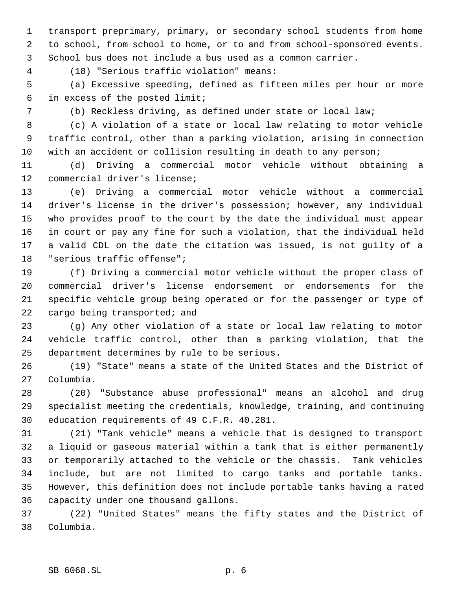transport preprimary, primary, or secondary school students from home to school, from school to home, or to and from school-sponsored events. School bus does not include a bus used as a common carrier.

(18) "Serious traffic violation" means:

 (a) Excessive speeding, defined as fifteen miles per hour or more in excess of the posted limit;

(b) Reckless driving, as defined under state or local law;

 (c) A violation of a state or local law relating to motor vehicle traffic control, other than a parking violation, arising in connection with an accident or collision resulting in death to any person;

 (d) Driving a commercial motor vehicle without obtaining a commercial driver's license;

 (e) Driving a commercial motor vehicle without a commercial driver's license in the driver's possession; however, any individual who provides proof to the court by the date the individual must appear in court or pay any fine for such a violation, that the individual held a valid CDL on the date the citation was issued, is not guilty of a "serious traffic offense";

 (f) Driving a commercial motor vehicle without the proper class of commercial driver's license endorsement or endorsements for the specific vehicle group being operated or for the passenger or type of 22 cargo being transported; and

 (g) Any other violation of a state or local law relating to motor vehicle traffic control, other than a parking violation, that the department determines by rule to be serious.

 (19) "State" means a state of the United States and the District of Columbia.

 (20) "Substance abuse professional" means an alcohol and drug specialist meeting the credentials, knowledge, training, and continuing education requirements of 49 C.F.R. 40.281.

 (21) "Tank vehicle" means a vehicle that is designed to transport a liquid or gaseous material within a tank that is either permanently or temporarily attached to the vehicle or the chassis. Tank vehicles include, but are not limited to cargo tanks and portable tanks. However, this definition does not include portable tanks having a rated capacity under one thousand gallons.

 (22) "United States" means the fifty states and the District of Columbia.